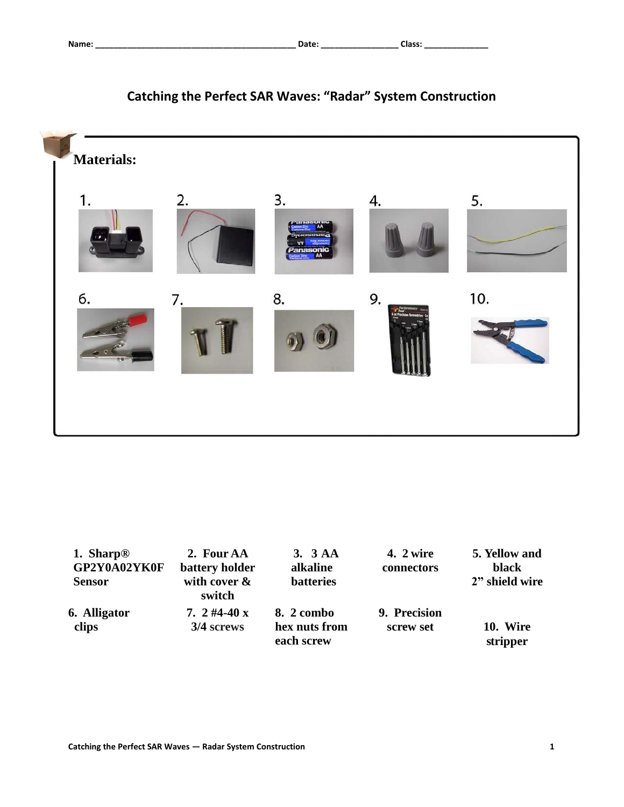

# **Catching the Perfect SAR Waves: "Radar" System Construction**

| 1. Sharp <sup>®</sup> | 2. Four AA                     | 3.3AA                                     | 4. 2 wire                 | 5. Yellow and        |
|-----------------------|--------------------------------|-------------------------------------------|---------------------------|----------------------|
| GP2Y0A02YK0F          | battery holder                 | alkaline                                  | connectors                | black                |
| <b>Sensor</b>         | with cover &<br>switch         | <b>batteries</b>                          |                           | 2" shield wire       |
| 6. Alligator<br>clips | 7. $2\,$ #4-40 x<br>3/4 screws | 8. 2 combo<br>hex nuts from<br>each screw | 9. Precision<br>screw set | 10. Wire<br>stripper |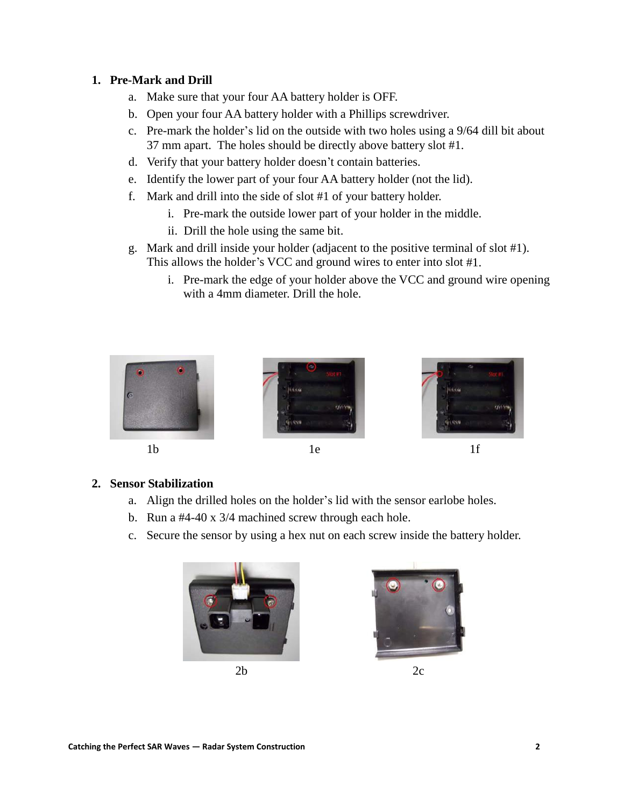#### **1. Pre-Mark and Drill**

- a. Make sure that your four AA battery holder is OFF.
- b. Open your four AA battery holder with a Phillips screwdriver.
- c. Pre-mark the holder's lid on the outside with two holes using a 9/64 dill bit about 37 mm apart. The holes should be directly above battery slot #1.
- d. Verify that your battery holder doesn't contain batteries.
- e. Identify the lower part of your four AA battery holder (not the lid).
- f. Mark and drill into the side of slot #1 of your battery holder.
	- i. Pre-mark the outside lower part of your holder in the middle.
	- ii. Drill the hole using the same bit.
- g. Mark and drill inside your holder (adjacent to the positive terminal of slot #1). This allows the holder's VCC and ground wires to enter into slot #1.
	- i. Pre-mark the edge of your holder above the VCC and ground wire opening with a 4mm diameter. Drill the hole.









#### **2. Sensor Stabilization**

- a. Align the drilled holes on the holder's lid with the sensor earlobe holes.
- b. Run a #4-40 x 3/4 machined screw through each hole.
- c. Secure the sensor by using a hex nut on each screw inside the battery holder.





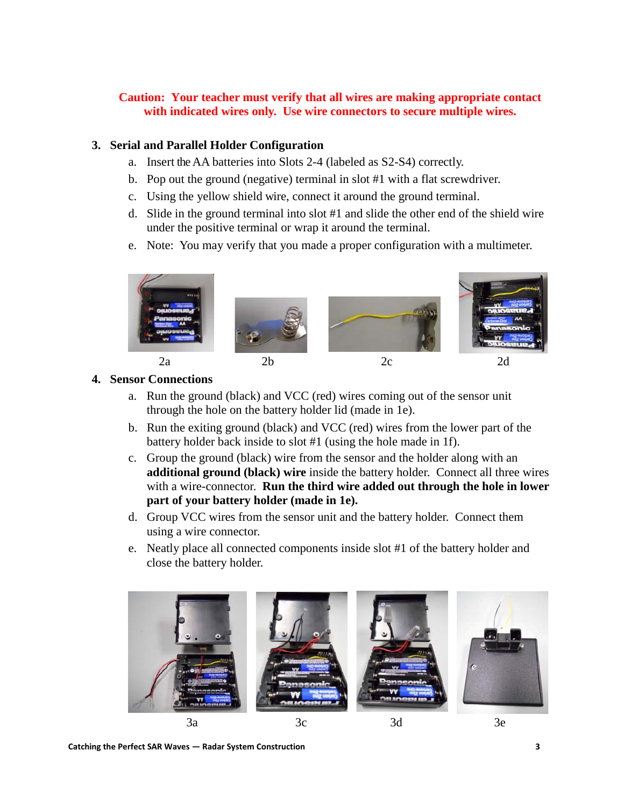# **Caution: Your teacher must verify that all wires are making appropriate contact with indicated wires only. Use wire connectors to secure multiple wires.**

#### **3. Serial and Parallel Holder Configuration**

- a. Insert the AA batteries into Slots 2-4 (labeled as S2-S4) correctly.
- b. Pop out the ground (negative) terminal in slot #1 with a flat screwdriver.
- c. Using the yellow shield wire, connect it around the ground terminal.
- d. Slide in the ground terminal into slot #1 and slide the other end of the shield wire under the positive terminal or wrap it around the terminal.
- e. Note: You may verify that you made a proper configuration with a multimeter.



# **4. Sensor Connections**

- a. Run the ground (black) and VCC (red) wires coming out of the sensor unit through the hole on the battery holder lid (made in 1e).
- b. Run the exiting ground (black) and VCC (red) wires from the lower part of the battery holder back inside to slot #1 (using the hole made in 1f).
- c. Group the ground (black) wire from the sensor and the holder along with an **additional ground (black) wire** inside the battery holder. Connect all three wires with a wire-connector. **Run the third wire added out through the hole in lower part of your battery holder (made in 1e).**
- d. Group VCC wires from the sensor unit and the battery holder. Connect them using a wire connector.
- e. Neatly place all connected components inside slot #1 of the battery holder and close the battery holder.



**Catching the Perfect SAR Waves — Radar System Construction 3**